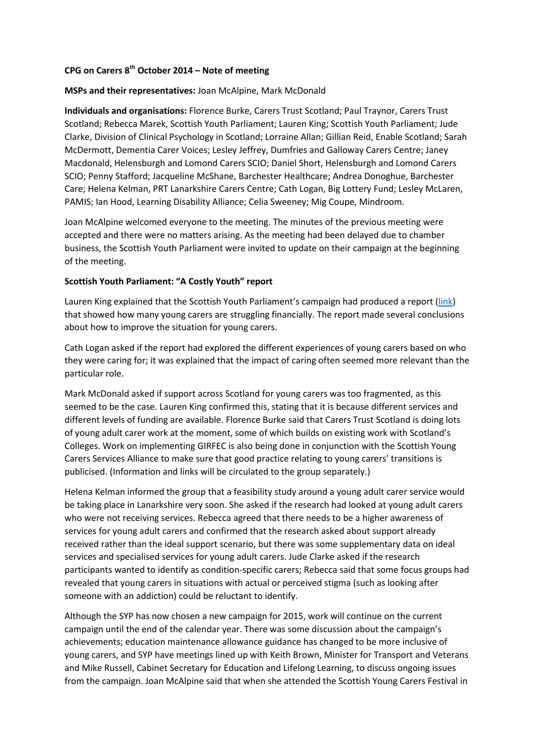# **CPG on Carers 8th October 2014 – Note of meeting**

### **MSPs and their representatives:** Joan McAlpine, Mark McDonald

**Individuals and organisations:** Florence Burke, Carers Trust Scotland; Paul Traynor, Carers Trust Scotland; Rebecca Marek, Scottish Youth Parliament; Lauren King; Scottish Youth Parliament; Jude Clarke, Division of Clinical Psychology in Scotland; Lorraine Allan; Gillian Reid, Enable Scotland; Sarah McDermott, Dementia Carer Voices; Lesley Jeffrey, Dumfries and Galloway Carers Centre; Janey Macdonald, Helensburgh and Lomond Carers SCIO; Daniel Short, Helensburgh and Lomond Carers SCIO; Penny Stafford; Jacqueline McShane, Barchester Healthcare; Andrea Donoghue, Barchester Care; Helena Kelman, PRT Lanarkshire Carers Centre; Cath Logan, Big Lottery Fund; Lesley McLaren, PAMIS; Ian Hood, Learning Disability Alliance; Celia Sweeney; Mig Coupe, Mindroom.

Joan McAlpine welcomed everyone to the meeting. The minutes of the previous meeting were accepted and there were no matters arising. As the meeting had been delayed due to chamber business, the Scottish Youth Parliament were invited to update on their campaign at the beginning of the meeting.

#### **Scottish Youth Parliament: "A Costly Youth" report**

Lauren King explained that the Scottish Youth Parliament's campaign had produced a report [\(link\)](http://www.syp.org.uk/a-costly-youth-W21page-517-) that showed how many young carers are struggling financially. The report made several conclusions about how to improve the situation for young carers.

Cath Logan asked if the report had explored the different experiences of young carers based on who they were caring for; it was explained that the impact of caring often seemed more relevant than the particular role.

Mark McDonald asked if support across Scotland for young carers was too fragmented, as this seemed to be the case. Lauren King confirmed this, stating that it is because different services and different levels of funding are available. Florence Burke said that Carers Trust Scotland is doing lots of young adult carer work at the moment, some of which builds on existing work with Scotland's Colleges. Work on implementing GIRFEC is also being done in conjunction with the Scottish Young Carers Services Alliance to make sure that good practice relating to young carers' transitions is publicised. (Information and links will be circulated to the group separately.)

Helena Kelman informed the group that a feasibility study around a young adult carer service would be taking place in Lanarkshire very soon. She asked if the research had looked at young adult carers who were not receiving services. Rebecca agreed that there needs to be a higher awareness of services for young adult carers and confirmed that the research asked about support already received rather than the ideal support scenario, but there was some supplementary data on ideal services and specialised services for young adult carers. Jude Clarke asked if the research participants wanted to identify as condition-specific carers; Rebecca said that some focus groups had revealed that young carers in situations with actual or perceived stigma (such as looking after someone with an addiction) could be reluctant to identify.

Although the SYP has now chosen a new campaign for 2015, work will continue on the current campaign until the end of the calendar year. There was some discussion about the campaign's achievements; education maintenance allowance guidance has changed to be more inclusive of young carers, and SYP have meetings lined up with Keith Brown, Minister for Transport and Veterans and Mike Russell, Cabinet Secretary for Education and Lifelong Learning, to discuss ongoing issues from the campaign. Joan McAlpine said that when she attended the Scottish Young Carers Festival in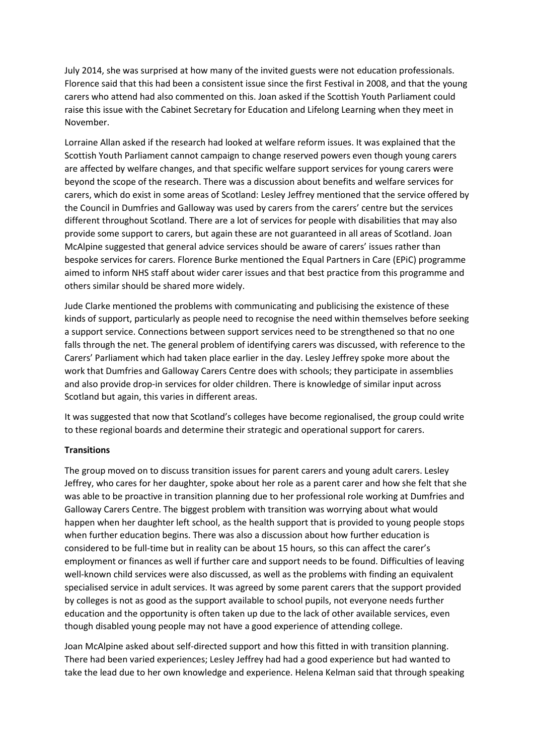July 2014, she was surprised at how many of the invited guests were not education professionals. Florence said that this had been a consistent issue since the first Festival in 2008, and that the young carers who attend had also commented on this. Joan asked if the Scottish Youth Parliament could raise this issue with the Cabinet Secretary for Education and Lifelong Learning when they meet in November.

Lorraine Allan asked if the research had looked at welfare reform issues. It was explained that the Scottish Youth Parliament cannot campaign to change reserved powers even though young carers are affected by welfare changes, and that specific welfare support services for young carers were beyond the scope of the research. There was a discussion about benefits and welfare services for carers, which do exist in some areas of Scotland: Lesley Jeffrey mentioned that the service offered by the Council in Dumfries and Galloway was used by carers from the carers' centre but the services different throughout Scotland. There are a lot of services for people with disabilities that may also provide some support to carers, but again these are not guaranteed in all areas of Scotland. Joan McAlpine suggested that general advice services should be aware of carers' issues rather than bespoke services for carers. Florence Burke mentioned the Equal Partners in Care (EPiC) programme aimed to inform NHS staff about wider carer issues and that best practice from this programme and others similar should be shared more widely.

Jude Clarke mentioned the problems with communicating and publicising the existence of these kinds of support, particularly as people need to recognise the need within themselves before seeking a support service. Connections between support services need to be strengthened so that no one falls through the net. The general problem of identifying carers was discussed, with reference to the Carers' Parliament which had taken place earlier in the day. Lesley Jeffrey spoke more about the work that Dumfries and Galloway Carers Centre does with schools; they participate in assemblies and also provide drop-in services for older children. There is knowledge of similar input across Scotland but again, this varies in different areas.

It was suggested that now that Scotland's colleges have become regionalised, the group could write to these regional boards and determine their strategic and operational support for carers.

#### **Transitions**

The group moved on to discuss transition issues for parent carers and young adult carers. Lesley Jeffrey, who cares for her daughter, spoke about her role as a parent carer and how she felt that she was able to be proactive in transition planning due to her professional role working at Dumfries and Galloway Carers Centre. The biggest problem with transition was worrying about what would happen when her daughter left school, as the health support that is provided to young people stops when further education begins. There was also a discussion about how further education is considered to be full-time but in reality can be about 15 hours, so this can affect the carer's employment or finances as well if further care and support needs to be found. Difficulties of leaving well-known child services were also discussed, as well as the problems with finding an equivalent specialised service in adult services. It was agreed by some parent carers that the support provided by colleges is not as good as the support available to school pupils, not everyone needs further education and the opportunity is often taken up due to the lack of other available services, even though disabled young people may not have a good experience of attending college.

Joan McAlpine asked about self-directed support and how this fitted in with transition planning. There had been varied experiences; Lesley Jeffrey had had a good experience but had wanted to take the lead due to her own knowledge and experience. Helena Kelman said that through speaking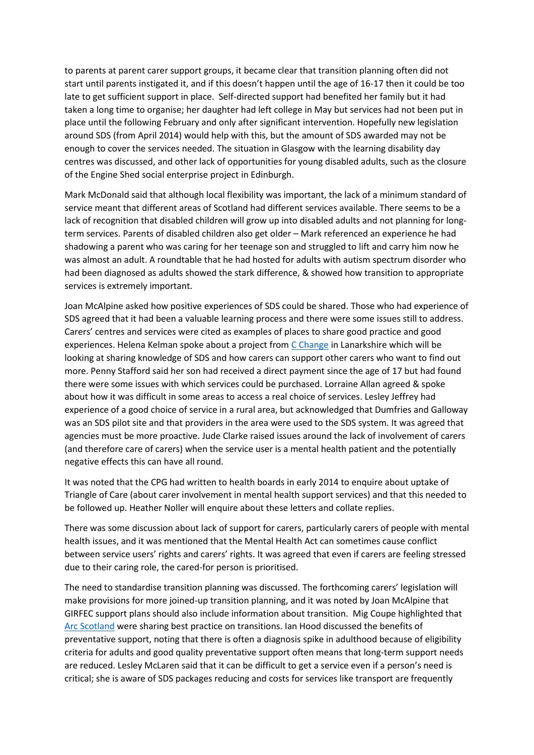to parents at parent carer support groups, it became clear that transition planning often did not start until parents instigated it, and if this doesn't happen until the age of 16-17 then it could be too late to get sufficient support in place. Self-directed support had benefited her family but it had taken a long time to organise; her daughter had left college in May but services had not been put in place until the following February and only after significant intervention. Hopefully new legislation around SDS (from April 2014) would help with this, but the amount of SDS awarded may not be enough to cover the services needed. The situation in Glasgow with the learning disability day centres was discussed, and other lack of opportunities for young disabled adults, such as the closure of the Engine Shed social enterprise project in Edinburgh.

Mark McDonald said that although local flexibility was important, the lack of a minimum standard of service meant that different areas of Scotland had different services available. There seems to be a lack of recognition that disabled children will grow up into disabled adults and not planning for longterm services. Parents of disabled children also get older – Mark referenced an experience he had shadowing a parent who was caring for her teenage son and struggled to lift and carry him now he was almost an adult. A roundtable that he had hosted for adults with autism spectrum disorder who had been diagnosed as adults showed the stark difference, & showed how transition to appropriate services is extremely important.

Joan McAlpine asked how positive experiences of SDS could be shared. Those who had experience of SDS agreed that it had been a valuable learning process and there were some issues still to address. Carers' centres and services were cited as examples of places to share good practice and good experiences. Helena Kelman spoke about a project fro[m C Change](http://www.c-change.org.uk/about-us/about-cchange) in Lanarkshire which will be looking at sharing knowledge of SDS and how carers can support other carers who want to find out more. Penny Stafford said her son had received a direct payment since the age of 17 but had found there were some issues with which services could be purchased. Lorraine Allan agreed & spoke about how it was difficult in some areas to access a real choice of services. Lesley Jeffrey had experience of a good choice of service in a rural area, but acknowledged that Dumfries and Galloway was an SDS pilot site and that providers in the area were used to the SDS system. It was agreed that agencies must be more proactive. Jude Clarke raised issues around the lack of involvement of carers (and therefore care of carers) when the service user is a mental health patient and the potentially negative effects this can have all round.

It was noted that the CPG had written to health boards in early 2014 to enquire about uptake of Triangle of Care (about carer involvement in mental health support services) and that this needed to be followed up. Heather Noller will enquire about these letters and collate replies.

There was some discussion about lack of support for carers, particularly carers of people with mental health issues, and it was mentioned that the Mental Health Act can sometimes cause conflict between service users' rights and carers' rights. It was agreed that even if carers are feeling stressed due to their caring role, the cared-for person is prioritised.

The need to standardise transition planning was discussed. The forthcoming carers' legislation will make provisions for more joined-up transition planning, and it was noted by Joan McAlpine that GIRFEC support plans should also include information about transition. Mig Coupe highlighted that [Arc Scotland](http://arcuk.org.uk/scotland/scottish-transitions-forum/) were sharing best practice on transitions. Ian Hood discussed the benefits of preventative support, noting that there is often a diagnosis spike in adulthood because of eligibility criteria for adults and good quality preventative support often means that long-term support needs are reduced. Lesley McLaren said that it can be difficult to get a service even if a person's need is critical; she is aware of SDS packages reducing and costs for services like transport are frequently